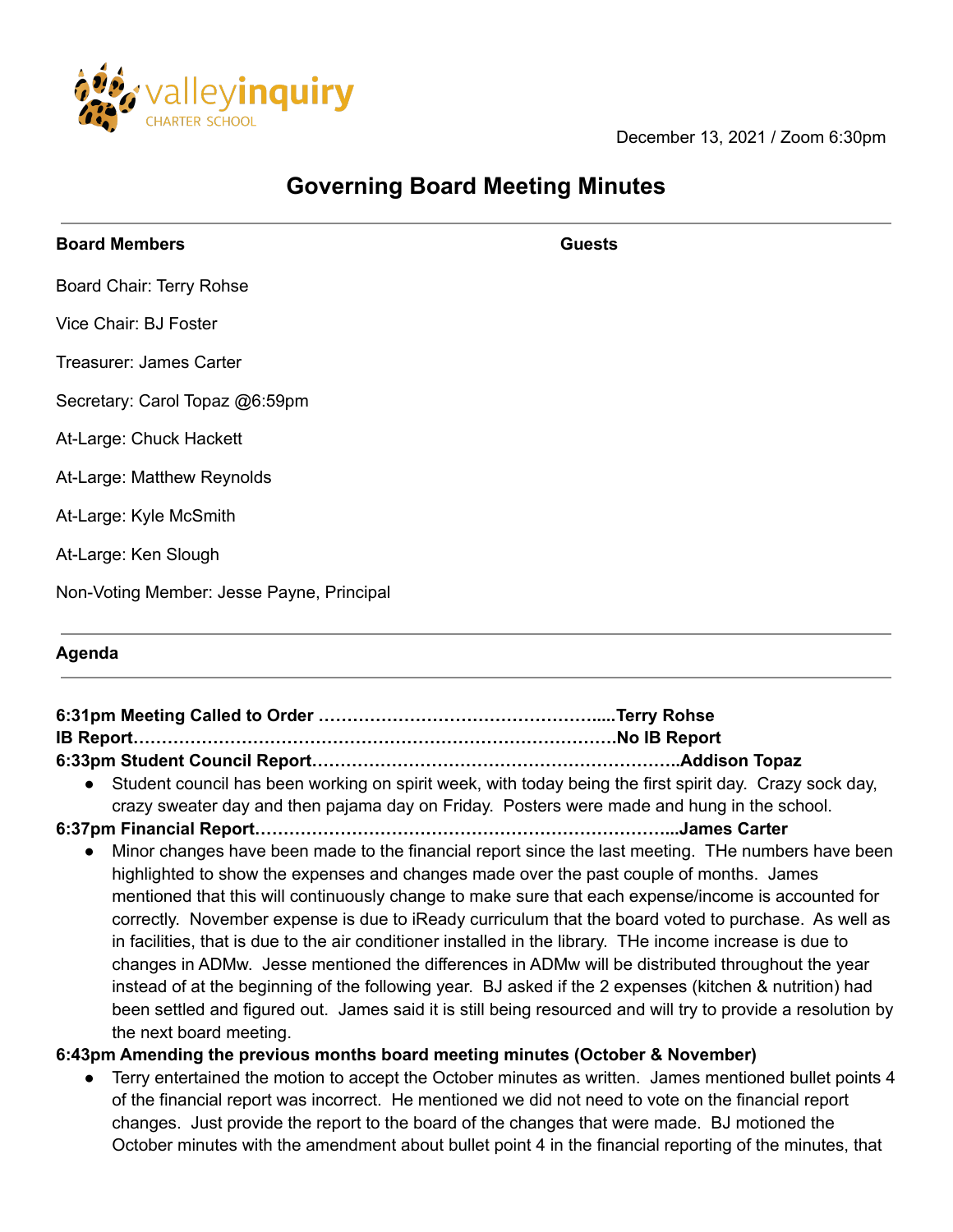

December 13, 2021 / Zoom 6:30pm

## **Governing Board Meeting Minutes**

| <b>Board Members</b>                      | <b>Guests</b> |
|-------------------------------------------|---------------|
| Board Chair: Terry Rohse                  |               |
| Vice Chair: BJ Foster                     |               |
| Treasurer: James Carter                   |               |
| Secretary: Carol Topaz @6:59pm            |               |
| At-Large: Chuck Hackett                   |               |
| At-Large: Matthew Reynolds                |               |
| At-Large: Kyle McSmith                    |               |
| At-Large: Ken Slough                      |               |
| Non-Voting Member: Jesse Payne, Principal |               |
|                                           |               |

## **Agenda**

| IB Report…………………………………………………………………………No IB Report                                                                                                                                                                                                                                                                                                                                                                                                                                                                                                     |                                                                                                                                                                                                                                                                                                                            |
|-------------------------------------------------------------------------------------------------------------------------------------------------------------------------------------------------------------------------------------------------------------------------------------------------------------------------------------------------------------------------------------------------------------------------------------------------------------------------------------------------------------------------------------------------------|----------------------------------------------------------------------------------------------------------------------------------------------------------------------------------------------------------------------------------------------------------------------------------------------------------------------------|
|                                                                                                                                                                                                                                                                                                                                                                                                                                                                                                                                                       |                                                                                                                                                                                                                                                                                                                            |
| • Student council has been working on spirit week, with today being the first spirit day. Crazy sock day,<br>crazy sweater day and then pajama day on Friday. Posters were made and hung in the school.                                                                                                                                                                                                                                                                                                                                               |                                                                                                                                                                                                                                                                                                                            |
| 6:37pm Financial Report……………………………………………………………………James Carter                                                                                                                                                                                                                                                                                                                                                                                                                                                                                         |                                                                                                                                                                                                                                                                                                                            |
| highlighted to show the expenses and changes made over the past couple of months. James<br>mentioned that this will continuously change to make sure that each expense/income is accounted for<br>in facilities, that is due to the air conditioner installed in the library. The income increase is due to<br>changes in ADMw. Jesse mentioned the differences in ADMw will be distributed throughout the year<br>instead of at the beginning of the following year. BJ asked if the 2 expenses (kitchen & nutrition) had<br>the next board meeting. | Minor changes have been made to the financial report since the last meeting. The numbers have been<br>correctly. November expense is due to iReady curriculum that the board voted to purchase. As well as<br>been settled and figured out. James said it is still being resourced and will try to provide a resolution by |

**6:43pm Amending the previous months board meeting minutes (October & November)**

● Terry entertained the motion to accept the October minutes as written. James mentioned bullet points 4 of the financial report was incorrect. He mentioned we did not need to vote on the financial report changes. Just provide the report to the board of the changes that were made. BJ motioned the October minutes with the amendment about bullet point 4 in the financial reporting of the minutes, that